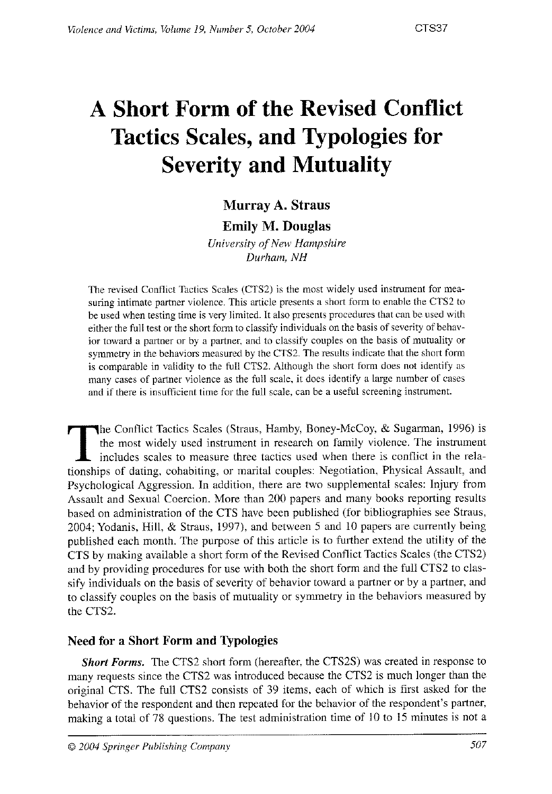# **A Short Form of the Revised Conflict Tactics Scales, and Typologies for Severity and Mutuality**

# **Murray A. Straus**

# **Emily M. Douglas**

*University of New Hampshire Durham, NH* 

The revised Conflict Tactics Scales (CTS2) is the most widely used instrument for measuring intimate partner violence. This article presents a short form to enable the CTS2 to be used when testing time is very limited. It also presents proczdures that can he used with either the full test or the short form to classify individuals on the basis of severity of behavior toward a partner or by a partner, and to classify couples on the basis of mutuality or symmetry in the behaviors measured by the CTS2. The results indicate that the short form is comparable in validity to the full CTS2. Although the short form does not identify as many cases of parlner violence as the full scale, it does identify a large number of cases and if there is insufticient time for the full scale, can be a useful screening instrument.

The Conflict Tactics Scales (Straus, Hamby, Boney-McCoy, & Sugarman, 1996) is<br>the most widely used instrument in research on family violence. The instrument<br>includes scales to measure three tactics used when there is confl the most widely used instrument in research on family violence. The instrument includes scales to measure three tactics used when there is conflict in the relationships of dating, cohabiting, or marital couples: Negotiation, Physical Assault, and Psychological Aggression. In addition, there are two supplemental scales: Injury from Assault and Sexual Coercion. More than 200 papers and many books reporting results based on administration of the CTS have been published (for bibliographies see Straus, 2004; Yodanis, Hill. & Straus, 1997), and between 5 and 10 papers are currently being published each month. The purpose of this article is to further extend the utility of the CTS by making available a short form of the Revised Conflict Tactics Scales (the CTS2) and by providing procedures for use with both the short form and the full CTS2 to classify individuals on the basis of severity of behavior toward a partner or by a parlner, and to classify couples on the basis of mutuality or symmetry in the behaviors measured by the CTS2.

# **Need for a Short Form and Typologies**

*Short Forms.* The CTS2 short form (hereafter, the CTS2S) was created in response to many requests since the CTS2 was introduced because the CTS2 is much longer than the original CTS. The full CTS2 consists of 39 items, each of which is first asked for the behavior of the respondent and then repeated for the behavior of the respondent's partner, making a total of 78 questions. The test administration time of 10 to 15 minutes is not a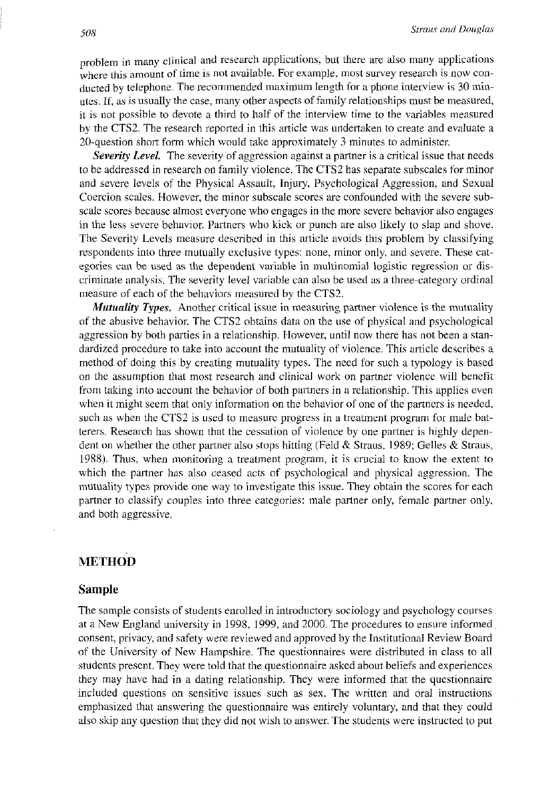problem in many clinical and research applications, but there are also many applications where this amount of time is not available. For example. most survey research is now conducted by telephone. The recommended maximum length for a phone interview is 30 minutes. If, as is usually the case, many other aspects of family relationships must be measured, it is not possible to devote a third to half of the interview time to the variables measured by the CTS2. The research reported in this article was undertaken lo create and evaluate a  $20$ -question short form which would take approximately 3 minutes to administer.

*Severity Level.* The severity of aggression against a partner is a critical issue that needs to be addressed in research on family violence. The CTS2 has separate subscales for minor and severe levels of the Physical Assault, Injury, Psychological Aggression, and Sexual Coercion scales. However, the minor subscale scores are confounded with the severe subscale scores because almost evcryone who engages in the morc severe behavior also engages in the less severe behavior. Partners who kick or punch are also likely to slap and shove. The Severity Levels measure described in this article avoids this problem by classifying respondents into three mutually exclusive types: none, minor only, and severe. These categories can be used as the dependent variable in multinomial logistic regression or discriminate analysis. The severity level variable can also be used as a three-category ordinal measure of each of the behaviors measured by the CTS2.

*Mutuality Types.* Another critical issue in measuring partner violence is the mutuality of the abusive behavior. The CTS2 obtains data on the use of physical and psychological aggression by both parties in a relationship. However, until now there has not been a standardized procedure to take into account the mutuality of violence. This article describes a method of doing this by creating mutuality types. The need for such a typology is based on the assumption that most research and clinical work on partner violence will benefit from taking into account the behavior of both partners in a relationship. This applies even when it might seem that only information on the behavior of one of the partners is needed, such as when the CTS2 is used to measure progress in a treatment program for male batterers. Research has shown that the cessation of violence by one partner is highly dependent on whether the other partner also stops hitting (Feld & Straus, 1989; Gelles & Straus, 1988). Thus, when monitoring a treatment program, it is crucial to know the extent to which the partner has also ceased acts of psychological and physical aggression. The mutuality types provide one way to investigate this issue. They obrain the scores for each partner to classify couples into three categories: male partner only, female partner only, and both aggressive.

# **METHOD**

#### **Sample**

The sample consists of students enrolled in introductory sociology and psychology courses at a New England university in 1998, 1999, and 2000. The procedures to ensure informed consent. privacy, and safety were reviewed and approved by the Institutional Review Board of the University of New Hampshire. The questionnaires were distributed in class to all students present. They were told that the questionnaire asked about beliefs and experiences they may have had in a dating relationship. They were informed that the questionnaire included questions on sensitive issues such as sex. The written and oral instructions emphasized that answering the questionnaire was entirely voluntary, and that they could also skip any question that they did not wish to answer. The students were instructed to put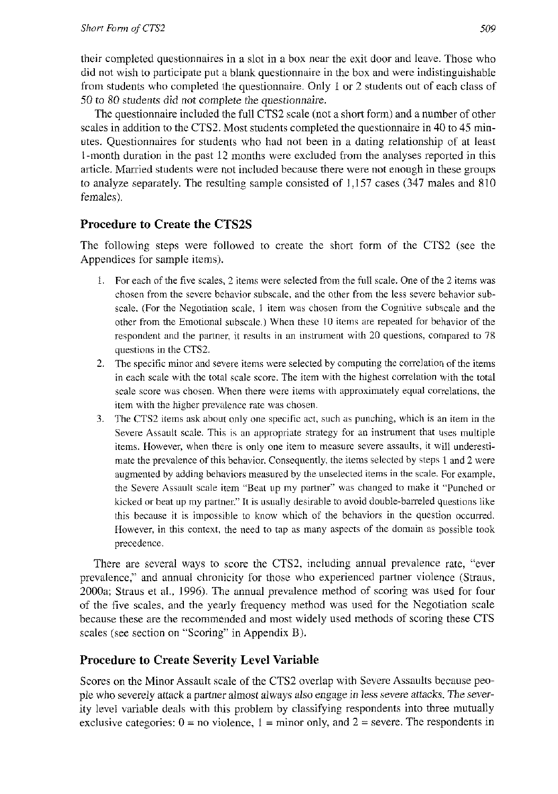their completed questionnaires in a slot in a box near the exit door and leave. Those who did not wish to participate put a blank questionnaire in the box and were indistinguishable from students who completed the questionnaire. Only 1 or 2 students out of each class of *50* to 80 students did not complete the questionnaire.

The questionnaire included the full CTS2 scale (not a short form) and a number of other scales in addition to the CTS2. Most students completed the questionnaire in 40 to 45 minutes. Questionnaires for students who had not been in a dating relationship of at least I-month duration in the past 12 months were excluded from the analyses reported in this article. Married students were not included because there were not enough in these groups to analyze separately. The resulting sample consisted of 1,157 cases (347 males and 810 females).

# **Procedure to Create the CTS2S**

The following steps were ibllowed to create the short form of the CTS2 (see the Appendices for sample items).

- 1. For each of the five scales, 2 items were selected from the full scale. One of the 2 items was choscn from the severe behavior subscale, and the other from the less severe behavior subscale. (For the Negotiation scale, 1 item was chosen from the Cognitive subscale and the other from the Emotional subscale.) When these 10 items are repeated for behavior of the respondent and the partner, it results in an instrument with 20 questions, compared to 78 questions in the CTS?.
- *2.* The specific minor and severe items wcie selected by computing the correlation of the items in each scale with the total scale score. The item with the highest correlation with the total scale scorc was chosen. When there were items with approximately equal correlations, the itcm with the higher prevalencc rate was chosen.
- *3.* The CTS2 items ask about only one specific act, such as punching. which is an itzm in the Severe Assault scale. This is an appropriate strategy for an instrument that uses multiple items. However, when there is only one item to measure severe assaults, it will underestimate the prevalence of this behavior Consequently, the items selected by steps l and 2 were augmented by adding behaviors measured by the unselected items in the scale. For example, the Severe Assault scale item "Beat up my partner" was changed to make it "Punched or kicked or beat up my partner" It is usually desirable to avoid double-barreled questions like this because it is impossible to know which of the behaviors in the question occurred. However, in this context, the need to tap as many aspects of the domain as possible took precedence.

There are several ways to score the CTS2, including annual prevalence rate, "ever prevalence:' and annual chronicity for those who experienced partner violence (Straus, 2000a; Straus et al., 1996). Thc annual prevalence method of scoring was used for four of the five scales, and the yearly frequency method was used for the Negotiation scale because these are the recommended and most widely used methods of scoring these CTS scales (see section on "Scoring" in Appendix B).

# **Procedure to Create Severity Level Variable**

Scores on the Minor Assault scale of ihe CTS2 overlap with Severe Assaults because people who severely attack a partner almost always also engage in less severe attacks. The severity level variable deals with this problem by classifying respondents into three mutually exclusive categories:  $0 = no$  violence,  $1 =$  minor only, and  $2 =$  severe. The respondents in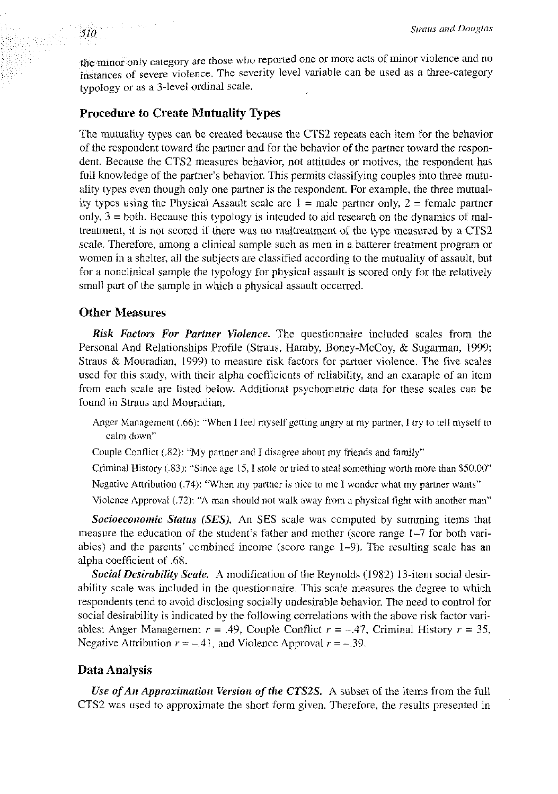the minor only category arc those who reported one or more acts of minor violence and no instances or severe violence. The severity level variable can be used as a three-category typology or as a 3-level ordinal scale.

### **Procedure to Create Mutuality Types**

The mutuality types can be created because the CTS2 repeats each item for the behavior of lhe respondent toward the partner and for the behavior of the partner toward the respondent. Because the CTS2 measures behavior, not attitudes or motives, the respondent has full knowledge of the partner's behavior. This permits classifying couples into three mutuality types even though only one partner is the respondent. For example. the three mutuality types using the Physical Assault scale are  $1 =$  male partner only,  $2 =$  female partner only,  $3 =$  both. Because this typology is intended to aid research on the dynamics of maltreatment, it is not scored if there was no maltreatment of the type measured by a CTSZ scale. Therefore, among a clinical sample such as men in a hatterer treatment program or women in a shelter, all the subjects are classified according to the mutuality of assault, but for a nonclinical sample the typology for physical assault is scored only for the relatively small park of the sample in which a physical assault occurred.

### **Other Measures**

and the world

510

*Risk Factors For Partner Violence.* The questionnaire included scales from the Personal And Relationships Profile (Straus, Hamby. Boney-McCoy. & Sugarman, 1999; Straus & Mouradian,  $1999$ ) to measure risk factors for partner violence. The five scales used for this study, with their alpha coefficients of reliability, and an example of an item from each scale are listed below. Additional psychometric data for these scales can be found in Straus and Mouradian.

Anger Management (.66): "When I feel myself getting angry at my partner, I try to tell myself to calm dawn"

Couple Conflict (.82): "My partner and I disagree about my friends and family"

Criminal History (.83): "Since age 15, I stole or tried to steal something worth more than \$50.00" Negative Attribution (.74): "When my partner is nice to me I wonder what my partner wants"

Vinlencc Approval (.72): "A man should not walk away from a physical fight with anothcr man"

**Socioeconomic Status (SES).** An SES scale was computed by summing items that measure the education of the student's father and mother (score range 1-7 for both variables) and the parents' combined income (score range 1-9). The resulting scale has an alpha coefficient of .68.

**Social Desirability Scale.** A modification of the Reynolds (1982) 13-item social desirability scale was included in the questionnaire. This scale measures the degree to which respondents tend to avoid disclosing socially undesirable behavior. The need to control for social desirability is indicated by the following correlations with the above risk factor variables: Anger Management  $r = .49$ , Couple Conflict  $r = -.47$ , Criminal History  $r = 35$ , Negative Attribution  $r = -.41$ , and Violence Approval  $r = -.39$ .

### **Data Analysis**

*Use ofAn Approximation Version of the CTS2S. A* subset of the items from the full CTS2 was used to approximate the short form given. Therefore, the results presented in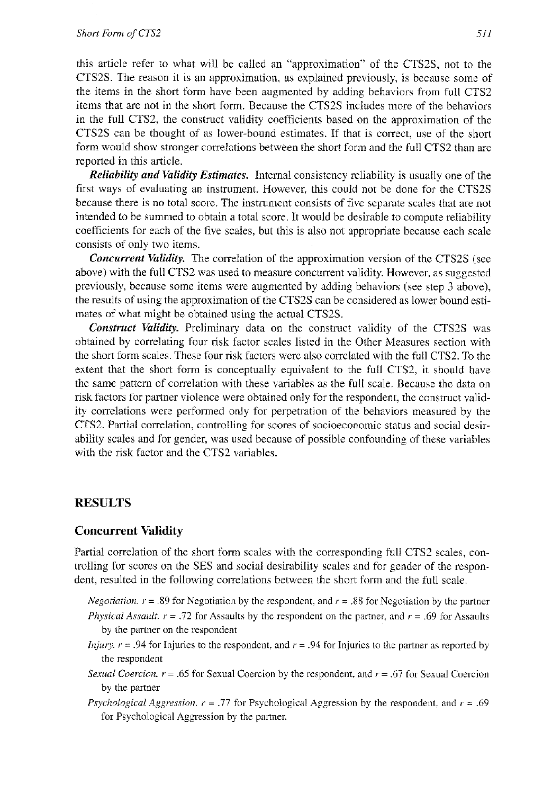#### Short Form of CTS2

this article refer to what will be called an "approximation" of the CTSZS, not to the CTS2S. The reason it is an approximation, as explained previously, is because some of the items in the short form have been augmented by adding behaviors from full CTS2 items that are not in the short form. Because the CTS2S includes morc of the behaviors in the full CTS2, the construct validity coefficients hased on the approximation of the CTS2S can be thought of as lower-bound estimates. If that is correct. use of the short form would show stronger correlations between the short form and the full CTS2 than are reported in this article.

*Reliability and Validify Estimates.* Internal consistency reliability is usually one of the first ways of evaluating an instrument. However, this could not be done for the CTS2S because there is no total score. The instrument consists of five separate scales that are not intended to be summed to obtain a total score. It would be desirable to compute reliability coefficients for each of the five scales; but this is also not appropriate because each scale consists of only two items.

*Concurrent Validify.* The correlation of the approximation version of the CTS2S (see above) with the full CTS2 was used to measure concurrent validity. However, as suggested previously, because some items were augmented by adding behaviors (see step 3 above), the results of using the approximation of the CTS2S can be considered as lower bound estimates of what might be obtained using the actual CTS2S.

*Constnrct Validify.* Preliminary data on the construct validity of the CTS2S was obtained by correlating four risk factor scales listed in the Other Measures section with the short form scales. These four risk factors were also correlated with the full CTS2. To the extent that the short form is conceptually equivalent to the full CTS2, it should have the same pattern of correlation with these variables as the full scale. Because the data on risk factors for partner violence were obtained only for the respondent, the construct validity correlations were performed only for perpetration of the behaviors measured by the CTS2. Partial correlation, controlling for scores of socioeconomic status and social desirability scales and for gender, was used because of possible confounding of these variables with the risk factor and the CTS2 variables.

### **RESULTS**

### **Concurrent Validity**

Partial correlation of the short form scales with the corresponding full CTS2 scales, controlling for scores on the SES and social desirabilily scales and for gender of the respondent, resulted in the following correlations between ihe short form and the full scale.

- *Negotiation.*  $r = .89$  for Negotiation by the respondent. and  $r = .88$  for Negotiation by the partner *Physical Assault.*  $r = .72$  *for Assaults by the respondent on the partner, and*  $r = .69$  *for Assaults* by the partner on the respondent
- *Injury.*  $r = .94$  for Injuries to the respondent, and  $r = .94$  for Injuries to the partner as reported by the respondent
- *Sexual Coercion.*  $r = .65$  for Sexual Coercion by the respondent, and  $r = .67$  for Sexual Coercion by the partner
- *Psychological Aggression,*  $r = .77$  *for Psychological Aggression by the respondent, and*  $r = .69$ for Psychological Aggression by the partner.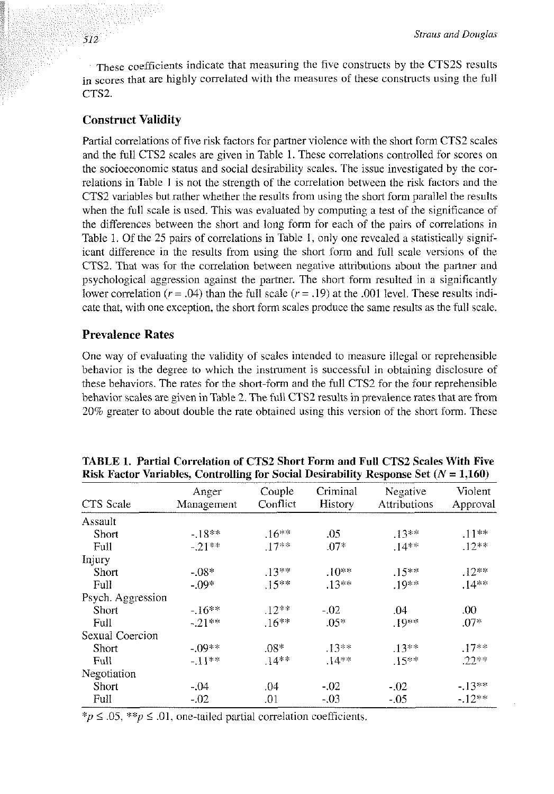These coefficients indicate that measuring the five constructs by the CTS2S results in scores that are highly correlated with the measures of these constructs using the full  $CTS2$ 

### **Construct Validity**

Partial correlations of five risk factors for partner violence with the short form CTS2 scales and the full CTS2 scales are given in Table I. These correlations controlled for scores on the socioeconomic status and social desirability scales. The issue investigated by the correlations in Table I is not the strength of the correlation between the risk factors and the CTS2 variables but rather whether the results from using the short form parallel the results when the full scale is used. This was evaluated by computing a test of the significance of the differences between the short and long form for each of the pairs of correlations in Table 1. Of the 25 pairs of correlations in Table I, only one revealed a statistically significant difference in the results from using the short form and full scale versions of the CTS2. That was for the correlation between negative attributions about the partner and psychological aggression against the partner. The short form resulted in a significantly lower correlation ( $r = .04$ ) than the full scale ( $r = .19$ ) at the .001 level. These results indicate that, with one exception. the short form scales produce the same results as the full scale.

### **Prevalence Rates**

One way of evaluating the validity of scales intended lo measure illegal or reprehensible behavior is the degree to which the instrument is successful in obtaining disclosure of these behaviors. The rates for the short-form and the full CTS2 for the four reprehensible behavior scales are given in Table 2. The full CTS2 results in prevalence rates that are from 20% greater to about double the rate obtained using this version of the short form. These

| CTS Scale         | Anger<br>Management | Couple<br>Conflict | Criminal<br>History | Negative<br>Attributions | Violent<br>Approval |
|-------------------|---------------------|--------------------|---------------------|--------------------------|---------------------|
| Assault           |                     |                    |                     |                          |                     |
| Short             | $-18***$            | $.16***$           | .05                 | $13**$                   | $11***$             |
| Full              | $-21***$            | $.17***$           | $.07*$              | $.14**$                  | $.12**$             |
| Injury            |                     |                    |                     |                          |                     |
| Short             | $-08*$              | $.13***$           | $.10**$             | $.15**$                  | $.12**$             |
| Full              | $-09*$              | $.15***$           | $.13***$            | $19**$                   | $.14**$             |
| Psych. Aggression |                     |                    |                     |                          |                     |
| Short             | $-16**$             | $.12***$           | $-0.02$             | .04                      | .00                 |
| Full              | $-21**$             | $.16***$           | $.05*$              | $.19**$                  | $.07*$              |
| Sexual Coercion   |                     |                    |                     |                          |                     |
| Short             | $-09**$             | $.08*$             | $13**$              | $.13**$                  | $.17**$             |
| Full              | - 11**              | $.14***$           | $14***$             | $.15***$                 | $22**$              |
| Negotiation       |                     |                    |                     |                          |                     |
| Short             | $-04$               | .04                | $-02$               | $-0.02$                  | $-.13**$            |
| Full              | $-.02$              | .01                | $-03$               | $-0.05$                  | $-.12**$            |

**TABLE I. Partial Correlation of CTS2 Short Form and Full CTS2 Scales With Five Risk Factor Variables, Controlling for Social Desirability Response Set** *(N* = **1,160)** 

 $*_{p} \leq 0.05$ ,  $*_{p} \leq 0.01$ , one-tailed partial correlation coefficients.

512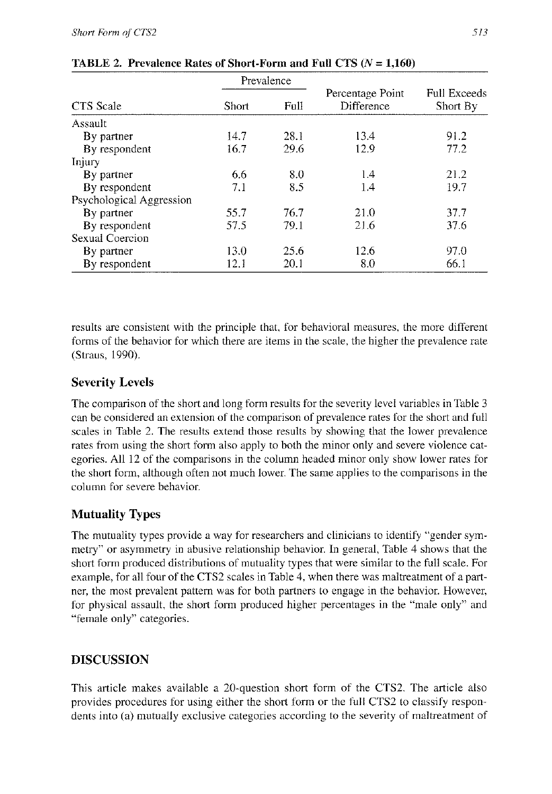|                          |       | Prevalence |                                |                                        |  |  |
|--------------------------|-------|------------|--------------------------------|----------------------------------------|--|--|
| CTS Scale                | Short | Full       | Percentage Point<br>Difference | <b>Full Exceeds</b><br><b>Short By</b> |  |  |
| Assault                  |       |            |                                |                                        |  |  |
| By partner               | 14.7  | 28.1       | 13.4                           | 91.2                                   |  |  |
| By respondent            | 16.7  | 29.6       | 12.9                           | 77.2                                   |  |  |
| Injury                   |       |            |                                |                                        |  |  |
| By partner               | 6.6   | 8.0        | 1.4                            | 21.2                                   |  |  |
| By respondent            | 7.1   | 8.5        | 1.4                            | 19.7                                   |  |  |
| Psychological Aggression |       |            |                                |                                        |  |  |
| By partner               | 55.7  | 76.7       | 21.0                           | 37.7                                   |  |  |
| By respondent            | 57.5  | 79.1       | 21.6                           | 37.6                                   |  |  |
| Sexual Coercion          |       |            |                                |                                        |  |  |
| By partner               | 13.0  | 25.6       | 12.6                           | 97.0                                   |  |  |
| By respondent            | 12.1  | 20.1       | 8.0                            | 66.1                                   |  |  |

|  |  |  | <b>TABLE 2. Prevalence Rates of Short-Form and Full CTS</b> $(N = 1,160)$ |  |  |  |
|--|--|--|---------------------------------------------------------------------------|--|--|--|
|--|--|--|---------------------------------------------------------------------------|--|--|--|

results are consistent with the principle that, for behavioral measures, the more different forms of the behavior for which there are items in the scale, the higher the prevalence rate (Straus, 1990).

# **Severity Levels**

The comparison of the short and long form results for the severity level variables in Table 3 can be considered an extension of the comperison of prevalence rales for the short and full scales in Table 2. The results extend those results by showing hat the lower prevalence rates from using the short form also apply to both the minor only and severe violence categories. All 12 of the comparisons in the column headed minor only show lower rates for the short form, although often not much lower. The same applies to the comparisons in the column for severe behavior.

# **Mutuality Types**

The mutuality types provide a way for researchers and clinicians to identify "gender symmetry" or asymmetry in abusive relationship behavior. In general, Table 4 shows that the short form produced distributions of mutuality types that were similar to the full scale. For example. for all four of the CTS2 scales in Table 4, when there was maltreatment of a partner, the most prevalent pattern was for both partners to engage in the behavior. However, for physical assault, the short form produced higher percentages in the "male only" and "female only" categories.

# **DISCUSSION**

This article makes available a 20-question short form of the CTS2. The article also provides procedures for using either the short form or the full CTS2 to classify respondents into (a) mutually exclusive categories according to the severity of maltreatment of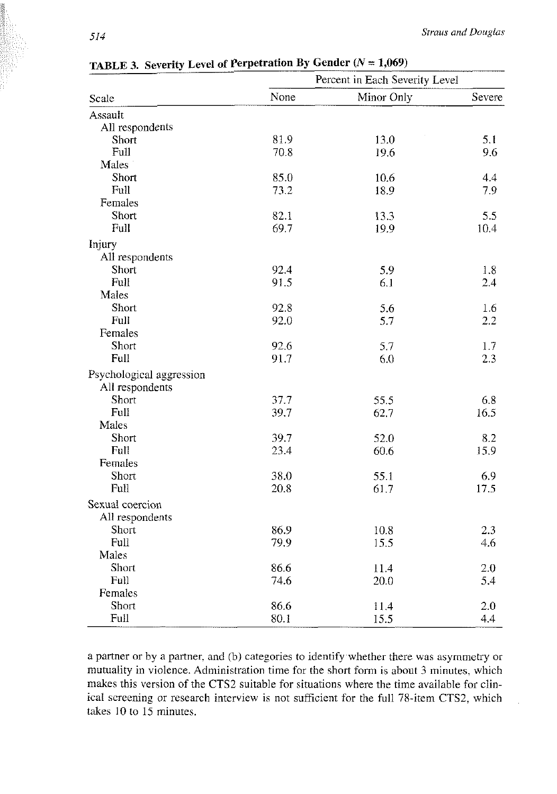|                          |      | Percent in Each Severity Level |        |  |
|--------------------------|------|--------------------------------|--------|--|
| Scale                    | None | Minor Only                     | Severe |  |
| Assault                  |      |                                |        |  |
| All respondents          |      |                                |        |  |
| Short                    | 81.9 | 13.0                           | 5.1    |  |
| Full                     | 70.8 | 19.6                           | 9.6    |  |
| Males                    |      |                                |        |  |
| Short                    | 85.0 | 10.6                           | 4.4    |  |
| Full                     | 73.2 | 18.9                           | 7.9    |  |
| Females                  |      |                                |        |  |
| Short                    | 82.1 | 13.3                           | 5.5    |  |
| Full                     | 69.7 | 19.9                           | 10.4   |  |
| Injury                   |      |                                |        |  |
| All respondents          |      |                                |        |  |
| Short                    | 92.4 | 5.9                            | 1.8    |  |
| Full                     | 91.5 | 6.1                            | 2.4    |  |
| Males                    |      |                                |        |  |
| Short                    | 92.8 | 5.6                            | 1.6    |  |
| Full                     | 92.0 | 5.7                            | 2.2    |  |
| Females                  |      |                                |        |  |
| Short                    | 92.6 | 5.7                            | 1.7    |  |
| Full                     | 91.7 | 6.0                            | 2.3    |  |
| Psychological aggression |      |                                |        |  |
| All respondents          |      |                                |        |  |
| Short                    | 37.7 | 55.5                           | 6.8    |  |
| Full                     | 39.7 | 62.7                           | 16.5   |  |
| Males                    |      |                                |        |  |
| Short                    | 39.7 | 52.0                           | 8.2    |  |
| Full                     | 23.4 | 60.6                           | 15.9   |  |
| Females                  |      |                                |        |  |
| Short                    | 38.0 | 55.1                           | 6.9    |  |
| Full                     | 20.8 | 61.7                           | 17.5   |  |
| Sexual coercion          |      |                                |        |  |
| All respondents          |      |                                |        |  |
| Short                    | 86.9 | 10.8                           | 2.3    |  |
| Full                     | 79.9 | 15.5                           | 4.6    |  |
| Males                    |      |                                |        |  |
| Short                    | 86.6 | 11.4                           | 2.0    |  |
| Full                     | 74.6 | 20.0                           | 5.4    |  |
| Females                  |      |                                |        |  |
| Short                    | 86.6 | 11.4                           | 2.0    |  |
| Full                     | 80.1 | 15.5                           | 4.4    |  |

**TABLE 3. Severity Level of Perpetration By Gender**  $(N = 1,069)$ 

a partner or by a partner. and (b) categories to identify whether there was asymmetry or mutuality in violence. Administration time for the short form is about 3 minutes. which makes this version of the CTS2 suitable for situations where the time available for clinical screening or research interview is not sufficient for the full 78-item CTS2, which takes 10 to 15 minutes.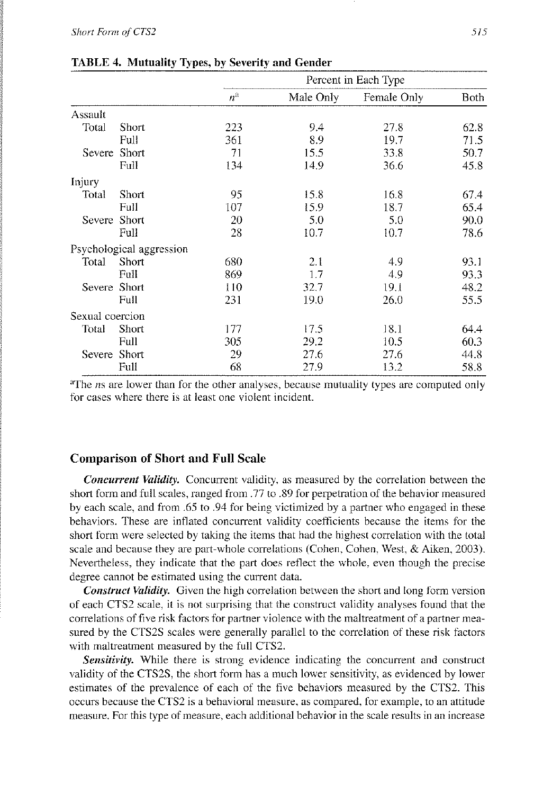|                 |                          |             |           | Percent in Each Type |      |  |  |  |
|-----------------|--------------------------|-------------|-----------|----------------------|------|--|--|--|
|                 |                          | $n^{\rm a}$ | Male Only | Female Only          | Both |  |  |  |
| Assault         |                          |             |           |                      |      |  |  |  |
| Total           | Short                    | 223         | 9.4       | 27.8                 | 62.8 |  |  |  |
|                 | Full                     | 361         | 8.9       | 19.7                 | 71.5 |  |  |  |
| Severe          | Short                    | 71          | 15.5      | 33.8                 | 50.7 |  |  |  |
|                 | Full                     | 134         | 14.9      | 36.6                 | 45.8 |  |  |  |
| Injury          |                          |             |           |                      |      |  |  |  |
| Total           | Short                    | 95          | 15.8      | 16.8                 | 67.4 |  |  |  |
|                 | Full                     | 107         | 15.9      | 18.7                 | 65.4 |  |  |  |
| Severe          | <b>Short</b>             | 20          | 5.0       | 5.0                  | 90.0 |  |  |  |
|                 | Full                     | 28          | 10.7      | 10.7                 | 78.6 |  |  |  |
|                 | Psychological aggression |             |           |                      |      |  |  |  |
| Total           | Short                    | 680         | 2.1       | 4.9                  | 93.1 |  |  |  |
|                 | Full                     | 869         | 1.7       | 4.9                  | 93.3 |  |  |  |
| Severe          | Short                    | 110         | 32.7      | 19.1                 | 48.2 |  |  |  |
|                 | Full                     | 231         | 19.0      | 26.0                 | 55.5 |  |  |  |
| Sexual coercion |                          |             |           |                      |      |  |  |  |
| Total           | Short                    | 177         | 17.5      | 18.1                 | 64.4 |  |  |  |
|                 | Full                     | 305         | 29.2      | 10.5                 | 60.3 |  |  |  |
| Severe Short    |                          | 29          | 27.6      | 27.6                 | 44.8 |  |  |  |
|                 | Full                     | 68          | 27.9      | 13.2                 | 58.8 |  |  |  |

| <b>TABLE 4. Mutuality Types, by Severity and Gender</b> |  |  |  |
|---------------------------------------------------------|--|--|--|
|---------------------------------------------------------|--|--|--|

<sup>a</sup>The *ns* are lower than for the other analyses, because mutuality types are computed only for cases where there is at least one violent incident.

### **Comparison of Short and Full Scale**

*Concurrent Validity.* Concurrent validity, as measured by the correlation between the short form and full scales, ranged from .77 to .89 for perpetration of the behavior measured by each scale, and from *.65* to .94 for being victimized by a partner who engaged in these behaviors. These are inflated concurrent validity coefficients because the items for the short form were selected by taking the items that had the highest correlation with the total scale and because they are part-whole correlations (Cohen. Cohen. West, & Aiken, 2003). Nevertheless, they indicate that the part does retlect the whole. even though the precise degree cannot be estimated using the current data.

*Construct Validity.* Given the high correlation between the short and long form version of each CTS2 scale, it is not surprising that the construct validity analyses found that the correlations of five risk factors for partner violence with the maltreatment of a partner measured by the CTS2S scales were generally parallel to the correlation of these risk factors with maltreatment measured by the full CTS2.

*Sensifivity.* While there is strong evidence indicating the concurrent and construct validity of the CTS2S, the short form has a much lower sensitivity, as evidenced by lower estimates of the prevalence of each of the five behaviors measured by the CTS2. This occurs because the CTS2 is a behavioral measure. as compared, for example, to an attitude measure. For this type of measure, each additional behavior in the scale results in an increase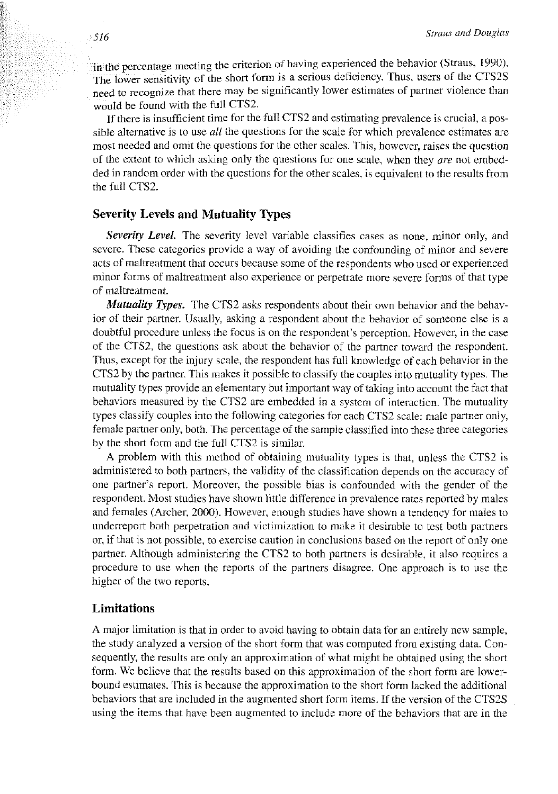in the percentage meeting the criterion of having experienced the behavior (Straus, 1990). The lower sensitivity of the short form is a serious deficiency. Thus, users of the CTS2S need to recognize that there may be significantly lower estimates of partner violence than would be found with the full CTS2.

If there is insufficient time for the ftdl CTS2 and estimating prevalence is crucial, a possible alternative is to use *all* the questions for the scale for which prevalence estimates are most needed and omit the questions for the other scales. This, however, raises the question of the extent to which asking only the questions for one scale, when they  $are$  not embedded in random order with the questions for the other scales, is equivalem to the results from the full CTS2.

### **Severity Levels and Mutuality Types**

*Severity Level.* The severity level variable classifies cases as none, minor only, and severe. These categories provide a way of avoiding the confounding of minor and severe acts of maltreatment that occurs because some of the respondents who used or experienced minor forms of maltreatment also experience or perpetrate more severe forms of that type of maltreatment.

*Mutuality Types.* The CTS2 asks respondents about their own behavior and the behavior of their partner. Usually, asking a respondent about the behavior of someone else is a doubtful procedure unless the focus is on the respondent's perception. However, in the case of the CTS2, the questions ask about the behavior of the partner toward the respondent. Thus, except for the injury scale, the respondent has full knowledge of each behavior in the CTS2 by the partner. This makes it possible to classify the couples into mutuality types. The mutuality types provide an elementary but important way of taking into account the fact that behaviors measured by the CTS2 are embedded in a system of interaction. The mutuality types classify couples into the following categories for each CTS2 scale: male partner only, female partner only, both. The percentage of the sample classified into these three categories by the short form and the full CTS2 is similar.

A problem with this method of obtaining mutuality types is that, unless the CTS2 is administered to both partners, the validity of the classification depends on the accuracy of one partner's report. Moreover, the possible bias is confounded with the gender of the respondent. Most studies have shown little difference in prevalence rates reported by males and females (Archer, 2000). However, enough studies have shown a tendency for males to underreport both perpetration and victimization to make it desirable to test both partners or. if that is not possible, to exercise caution in conclusions based on the report of only one partner. Although administering the CTS2 to both partners is desirable, it also requires a procedure to use when the reports of the partners disagree. One approach is to use the higher of the two reports.

### **Limitations**

A major limitation is that in order to avoid having to obtain data for an entirely new sample, the study analyzed a version of the short form that was computed from existing data. Consequently, the results are only an approximation of what might be obtained using the short form. We believe that the results based on this approximation of the short form are lowerbound estimates. This is because the approximation to the short form lacked the additional behaviors that are included in the augmented short form items. If the version of the CTS2S using the items that have been augmented to include more of the behaviors that are in the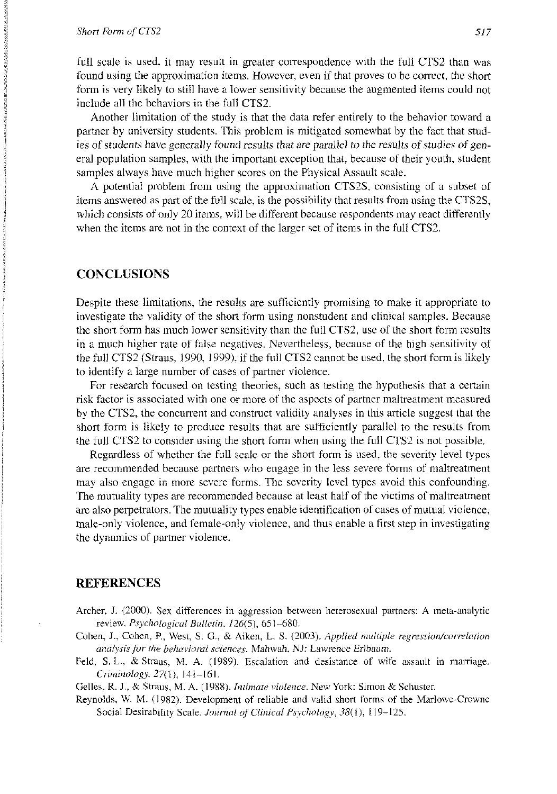#### *Short Form of CTS2 517*

full scale is used, it may result in greater correspondence with the full CTS2 than was found using the approximation items. However, cven if that proves to he correct, the short form is very likely to still have a lower sensitivity because the augmented items could not include all the behaviors in the full CTS2.

Another limitation of the study is that the data refer entirely to the behavior toward a partner by university students. This problem is mitigated somewhat by the fact that studies of students have generally found results that are parallel to the results of studies of general population samples. with the important exception that, because of their youth, studcnt samples always have much higher scores on the Physical Assault scale.

A potential problem from using the approximation CTSZS, consisting of a subset of items answered as **put** of the full scale, is the possibility that results from using the CTS2S, which consists of only 20 items, will be different because respondents may react differently when the items are not in the context of the larger set of items in the full CTS2.

## **CONCLUSIONS**

Despite these limitations, the results are sufficiently promising to make it appropriate to investigate the validity of the short form using nonstudent and clinical samples. Because the short form has inuch lower sensitivity than the full CTS2, use of the short form results in a much higher rate of false negatives. Nevertheless, because of the high sensitivity of the full CTS2 (Straus, 1990, 1999), if the full CTS2 cannot be used, the short form is likely to identify a large number of cases of partner violence.

For research focused on testing theories, such as testing the hypothesis that a certain risk factor is associated with one or more of the aspects of partner maltreatment measured by the CTS2, the concurrent and construct validity analyses in this article suggest that the short form is likely to produce results that are sufficiently parallel to the results from the full CTS2 to consider using the short form when using the full CTS2 is not possible.

Regardless of whether the full scale or the short form is used. the severity level types are recommended because partners who engage in the less severe forms of maltreatment may also engage in more severe forms. The severity level types avoid this confounding. The mutuality types are recommended because at least half of the victims of maltreatment are also perpetrators. The mutuality types enable identification of cases of mutual violence, male-only violence, and female-only violence, and thus enable a first step in investigating the dynamics of partner violence.

### **REFERENCES**

- Archer, J. (2000). Sex differences in aggression between heterosexual partners: A meta-analytic review. *Psychological Bulletin*,  $126(5)$ , 651-680.
- Cohen, J., Cohen, P., West, S. G., & Aiken, L. S. (2003). *Applied multiple regression/correlation unalysis for the behavioral sciences. Mahwah, NJ: Lawrence Erlbaum.*
- Feld, S. L., & Straus, M. A. (1989). Escalation and desistance of wife assault in marriage. *C,-imirzologj,* 2711). 141-161.

Gelles, R. J., & Straus, M. A. (1988). *Intimate violence*. New York: Simon & Schuster.

Reynolds, W. M. (1982). Development of reliable and valid short forms of the Marlowe-Crowne Social Desirability Scale. *Journal of Clinical Psychology*, 38(1), 119-125.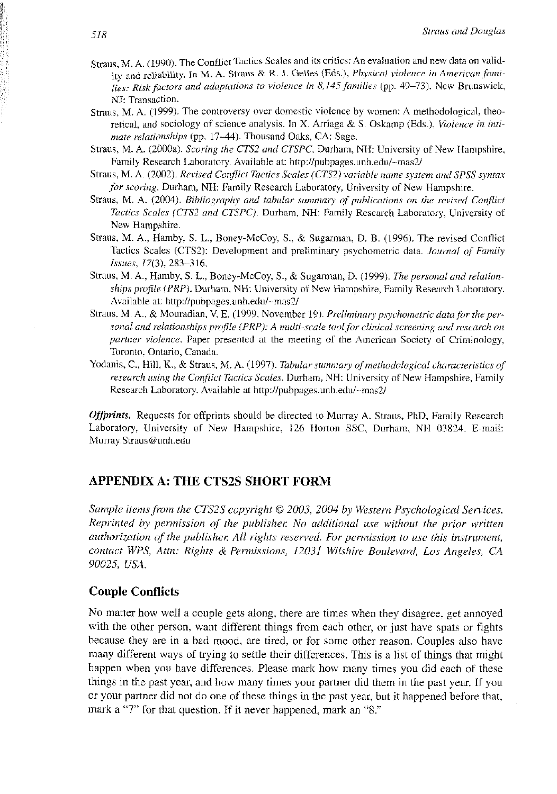- Straus, M. A. (1990). The Conflict Tactics Scales and its critics: An evaluation and new data on validity and reliability. In M. A. Straus & R. J. Gelles (Eds.), *Physical violence in American families: Risk factors and adaptations to violence in 8,145 families (pp. 49–73). New Brunswick,* NJ: Transaction.
- Straus, M. A. (1999). The controversy over domestic violence by women: A methodological, theoretical, and sociology of science analysis. In X. Arriaga & S. Oskamp (Eds.). *Violence in intimate relationships* (pp. 17-44). Thousand Oaks, CA: Sage.
- Slraus. M. A. (2000a). *Scoring the CTS2 and CTSPC.* Durham, NH: University 01 New Hampshire. Family Research Laboratory. Available at: **http://pubpages.unh,edu/-mas21**
- Straus, M. A. (2002). *Revised Conflict Tactics Scales (CTS2) variable name system and SPSS syntax for scoring.* Durham, NH: Family Research Laboratory, University of New Hampshire.
- Straus, M. A. (2004). *Bibliography and tabular summary of publications on the revised Conflict Rictics Scaler (CTS2 nnd CTSPC).* Durham. NH: Family Research Laboratory, University of New Hampshire.
- Straus, M. A., Hamby, S. L., Buncy-McCoy, S.. & Sugarman, D. B. (1996). The revised Conflict Tactics Scales (CTS2): Development and preliminary psychometric data. *Journal of Family I,ssues,* 17(3). 283-316.
- Straus, M. A., Hamby, S. L., Boney-McCoy, S., & Sugarman, D. (1999). *The personal and relationships profile (PRP).* Durham, NH: University of New Hampshire, Family Research Laboratory. Available at: http://pubpages.unh.edu/~mas2/
- Straus, M. A., & Mouradian, V. E. (1999, November 19). *Preliminary psychometric data for the personal and relationships profile (PRP): A multi-scale tool for clinical screening and research on partner violence.* Paper presented at the meeting of the American Society of Criminology, Toronto. Ontario, Canada.
- Yodanis, C., Hill. K., & Straus, M. A. (1997). *Tabular summary of methodological characteristics of research using the Conflict Tactics Scales*. Durham, NH: University of New Hampshire, Family Research Laboratory. Avaiiable at **http://pubpuges.unh.edu/-mas21**

*Offprints.* Requests for offprints should be directed to Murray A. Straus. PhD, Family Research Laboratory, University of New Hampshire, 126 Horton SSC, Durham. NH 03824, E-mail: Murray.Straus@unh.edu

### **APPENDIX A: THE CTS2S SHORT FORM**

*Sample items from the CTS2S copyright © 2003, 2004 by Western Psychological Services. Reprinted by permission of the publisher. No additional use without the prior written uuthorization of the publisher. All rights reserved. For permission to use this instrument, conrucr WPS, Atm: Rights* & *Prmzissions, 12031 Wikhire Boulevurd,* Los *Angeles,* **CA**  *90025, USA.* 

### **Couple Conflicts**

No matter how well a couple gets along, there are times when they disagree. get annoyed with the other person, want different things from each other, or just have spats or fights because they are in a had mood, are tired, or for some other reason. Couples also have many different ways of trying to settle their differences. This is a list of things that might happen when you have differences. Please mark how many times you did each of these things in the past year, and how many times your partner did them in the past year. If you or your partner did not do one of these things in the past year, but it happened before that. mark a *"7"* for that question. If it never happened, mark an "8."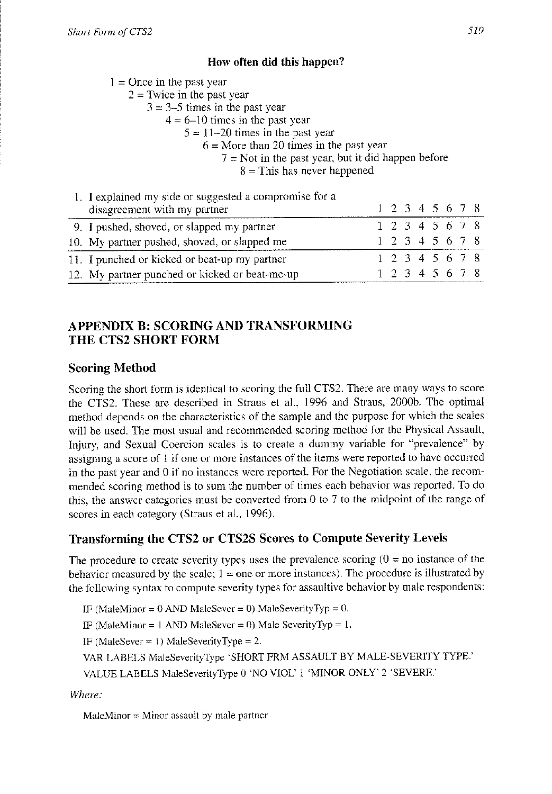### **How often did this happen?**

 $1 =$ Once in the past year

 $2 =$ Twice in the past year

 $3 = 3-5$  times in the past year

- $4 = 6 10$  times in the past year
	- $5 = 11 20$  times in the past year
		- $6 =$ More than 20 times in the past year
			- $7 = Not$  in the past year, but it did happen before

 $8 =$ This has never happened

| 1. I explained my side or suggested a compromise for a<br>disagreement with my partner |  |  |  | 1 2 3 4 5 6 7 8          |  |
|----------------------------------------------------------------------------------------|--|--|--|--------------------------|--|
| 9. I pushed, shoved, or slapped my partner                                             |  |  |  | 1 2 3 4 5 6 7 8          |  |
| 10. My partner pushed, shoved, or slapped me                                           |  |  |  | 1 2 3 4 5 6 7 8          |  |
| 11. I punched or kicked or beat-up my partner                                          |  |  |  | 1 2 3 4 5 6 7 8          |  |
| 12. My partner punched or kicked or beat-me-up                                         |  |  |  | $1\ 2\ 3\ 4\ 5\ 6\ 7\ 8$ |  |

# **APPENDIX B: SCORING AND TRANSFORMING THE CTS2 SHORT FORM**

# **Scoring Method**

Scoring the short form is identical to scoring the full CTS2. There are many ways to score the CTS2. These are described in Straus et al.. 1996 and Straus, 2000b. The optimal method depends on the characteristics of the sample and the purpose for which the scales will be used. The most usual and recommended scoring method for the Physical Assault, Injury, and Sexual Coercion scales is to create a dummy variable for "prevalence" by assigning a score of 1 if one or more instances of the items were reported to have occurred in the past year and  $\theta$  if no instances were reported. For the Negotiation scale, the recommended scoring method is to sum the number of times each behavior was reported. To do this, the answer categories must be converted from 0 to 7 to the midpoint of the range of scores in each category (Straus et al., 1996).

# **Transforming the CTS2 or CTS2S Scores to Compute Severity Levels**

The procedure to create severity types uses the prevalence scoring  $(0 = no$  instance of the behavior measured by the scale;  $1 =$  one or more instances). The procedure is illustrated by the following syntax to compute severity types for assaultive behavior by male respondents:

IF (MaleMinor = OAND MaleSever = *0)* MaleSeverityTyp = *0.* 

IF (MaleMinor = I AND MalcSevcr = *0)* Male SeverityTyp = 1.

IF (MaleSever = **I)** MaleSeverilyType = *2.* 

VAR LABELS MaleSeverityType 'SHORT FRM ASSAULT BY MALE-SEVERITY TYPE.'

VALUE LABELS MaleSeveriiyType *0* 'NO VIOU 1 'MINOR ONLY' 2 'SEVERE.'

*Where:* 

 $MaleMinor = Minor$  assault by male partner